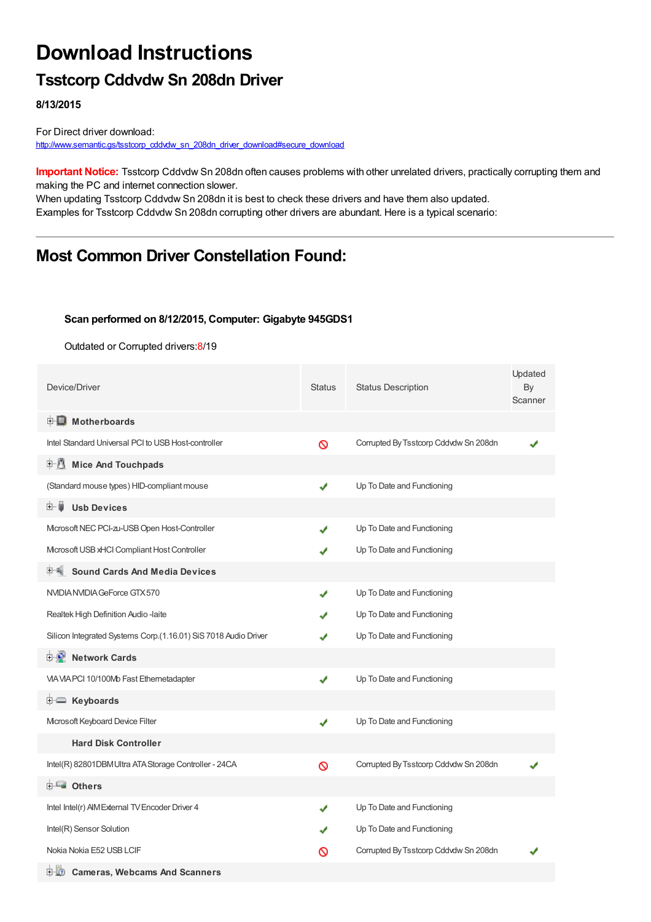# **Download Instructions**

### **Tsstcorp Cddvdw Sn 208dn Driver**

**8/13/2015**

For Direct driver download: [http://www.semantic.gs/tsstcorp\\_cddvdw\\_sn\\_208dn\\_driver\\_download#secure\\_download](http://www.semantic.gs/tsstcorp_cddvdw_sn_208dn_driver_download#secure_download)

**Important Notice:** Tsstcorp Cddvdw Sn 208dn often causes problems with other unrelated drivers, practically corrupting them and making the PC and internet connection slower.

When updating Tsstcorp Cddvdw Sn 208dn it is best to check these drivers and have them also updated. Examples for Tsstcorp Cddvdw Sn 208dn corrupting other drivers are abundant. Here is a typical scenario:

## **Most Common Driver Constellation Found:**

#### **Scan performed on 8/12/2015, Computer: Gigabyte 945GDS1**

Outdated or Corrupted drivers:8/19

| Device/Driver                                                   | <b>Status</b> | <b>Status Description</b>             | Updated<br>By<br>Scanner |
|-----------------------------------------------------------------|---------------|---------------------------------------|--------------------------|
| <b>E</b> Motherboards                                           |               |                                       |                          |
| Intel Standard Universal PCI to USB Host-controller             | Ø             | Corrupted By Tsstcorp Cddvdw Sn 208dn |                          |
| <b>Mice And Touchpads</b><br>F U                                |               |                                       |                          |
| (Standard mouse types) HID-compliant mouse                      | ✔             | Up To Date and Functioning            |                          |
| <b>Usb Devices</b><br>⊞…≣                                       |               |                                       |                          |
| Microsoft NEC PCI-zu-USB Open Host-Controller                   |               | Up To Date and Functioning            |                          |
| Microsoft USB xHCI Compliant Host Controller                    |               | Up To Date and Functioning            |                          |
| <b>Sound Cards And Media Devices</b>                            |               |                                       |                          |
| NVIDIA NVIDIA GeForce GTX 570                                   | ✔             | Up To Date and Functioning            |                          |
| Realtek High Definition Audio -laite                            |               | Up To Date and Functioning            |                          |
| Silicon Integrated Systems Corp.(1.16.01) SiS 7018 Audio Driver |               | Up To Date and Functioning            |                          |
| 中心 Network Cards                                                |               |                                       |                          |
| VIA VIA PCI 10/100Mb Fast Ethernetadapter                       | ✔             | Up To Date and Functioning            |                          |
| <b>E</b> Keyboards                                              |               |                                       |                          |
| Microsoft Keyboard Device Filter                                | ✔             | Up To Date and Functioning            |                          |
| <b>Hard Disk Controller</b>                                     |               |                                       |                          |
| Intel(R) 82801DBM Ultra ATA Storage Controller - 24CA           | $\infty$      | Corrupted By Tsstcorp Cddvdw Sn 208dn |                          |
| 由 <b>Lu</b> Others                                              |               |                                       |                          |
| Intel Intel(r) AIM External TV Encoder Driver 4                 | ✔             | Up To Date and Functioning            |                          |
| Intel(R) Sensor Solution                                        |               | Up To Date and Functioning            |                          |
| Nokia Nokia E52 USB LCIF                                        | ∾             | Corrupted By Tsstcorp Cddvdw Sn 208dn |                          |
| <b>Cameras, Webcams And Scanners</b><br>田 (2)                   |               |                                       |                          |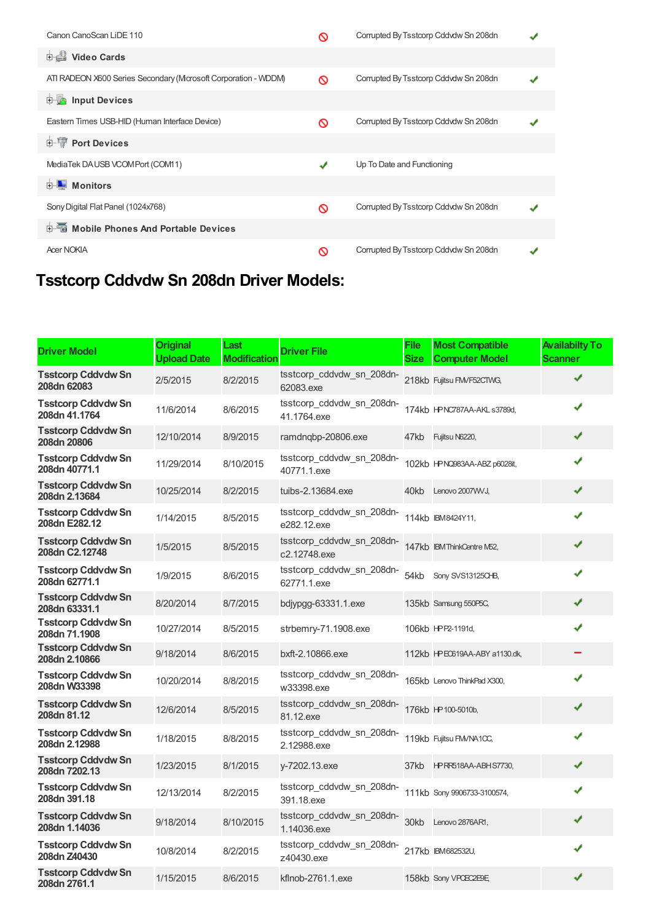| Canon CanoScan LiDE 110                                        |   | Corrupted By Tsstcorp Cddvdw Sn 208dn |  |
|----------------------------------------------------------------|---|---------------------------------------|--|
| <b>Dideo Cards</b>                                             |   |                                       |  |
| ATI RADEON X600 Series Secondary (Mcrosoft Corporation - WDDM) | ര | Corrupted By Tsstcorp Cddvdw Sn 208dn |  |
| <b>E</b> Input Devices                                         |   |                                       |  |
| Eastern Times USB-HID (Human Interface Device)                 | ര | Corrupted By Tsstcorp Cddvdw Sn 208dn |  |
| <b>E-</b> Port Devices                                         |   |                                       |  |
| MediaTek DAUSB VCOMPort (COM11)                                | ✔ | Up To Date and Functioning            |  |
| <b>E</b> Monitors                                              |   |                                       |  |
| Sony Digital Flat Panel (1024x768)                             | ര | Corrupted By Tsstcorp Cddvdw Sn 208dn |  |
| 中国 Mobile Phones And Portable Devices                          |   |                                       |  |
| <b>Acer NOKIA</b>                                              | ര | Corrupted By Tsstcorp Cddvdw Sn 208dn |  |

## **Tsstcorp Cddvdw Sn 208dn Driver Models:**

| <b>Driver Model</b>                         | <b>Original</b><br><b>Upload Date</b> | Last<br><b>Modification</b> | <b>Driver File</b>                        | File<br><b>Size</b> | <b>Most Compatible</b><br><b>Computer Model</b> | <b>Availabilty To</b><br><b>Scanner</b> |
|---------------------------------------------|---------------------------------------|-----------------------------|-------------------------------------------|---------------------|-------------------------------------------------|-----------------------------------------|
| <b>Tsstcorp Cddvdw Sn</b><br>208dn 62083    | 2/5/2015                              | 8/2/2015                    | tsstcorp_cddvdw_sn_208dn-<br>62083.exe    |                     | 218kb Fujitsu FMVF52CTWG,                       |                                         |
| Tsstcorp Cddvdw Sn<br>208dn 41.1764         | 11/6/2014                             | 8/6/2015                    | tsstcorp_cddvdw_sn_208dn-<br>41.1764.exe  |                     | 174kb HPNC787AA-AKL s3789d,                     | ✔                                       |
| <b>Tsstcorp Cddvdw Sn</b><br>208dn 20806    | 12/10/2014                            | 8/9/2015                    | ramdnqbp-20806.exe                        |                     | 47kb Fujitsu N6220,                             | ✔                                       |
| Tsstcorp Cddvdw Sn<br>208dn 40771.1         | 11/29/2014                            | 8/10/2015                   | tsstcorp cddvdw sn 208dn-<br>40771.1.exe  |                     | 102kb HPNQ983AA-ABZ p6028it,                    | ✔                                       |
| <b>Tsstcorp Cddvdw Sn</b><br>208dn 2.13684  | 10/25/2014                            | 8/2/2015                    | tuibs-2.13684.exe                         |                     | 40kb Lenovo 2007 WJ,                            | ✔                                       |
| <b>Tsstcorp Cddvdw Sn</b><br>208dn E282.12  | 1/14/2015                             | 8/5/2015                    | tsstcorp cddvdw sn 208dn-<br>e282.12.exe  |                     | 114kb IBM8424Y11,                               |                                         |
| <b>Tsstcorp Cddvdw Sn</b><br>208dn C2.12748 | 1/5/2015                              | 8/5/2015                    | tsstcorp_cddvdw_sn_208dn-<br>c2.12748.exe |                     | 147kb IBM ThinkCentre M52,                      | ✔                                       |
| <b>Tsstcorp Cddvdw Sn</b><br>208dn 62771.1  | 1/9/2015                              | 8/6/2015                    | tsstcorp_cddvdw_sn_208dn-<br>62771.1.exe  | 54kb                | Sony SVS13125CHB,                               |                                         |
| <b>Tsstcorp Cddvdw Sn</b><br>208dn 63331.1  | 8/20/2014                             | 8/7/2015                    | bdjypgg-63331.1.exe                       |                     | 135kb Samsung 550P5C,                           | ✔                                       |
| <b>Tsstcorp Cddvdw Sn</b><br>208dn 71.1908  | 10/27/2014                            | 8/5/2015                    | strbemry-71.1908.exe                      |                     | 106kb HPP2-1191d,                               | ✔                                       |
| <b>Tsstcorp Cddvdw Sn</b><br>208dn 2.10866  | 9/18/2014                             | 8/6/2015                    | bxft-2.10866.exe                          |                     | 112kb HPE0619AA-ABY a1130.dk,                   |                                         |
| <b>Tsstcorp Cddvdw Sn</b><br>208dn W33398   | 10/20/2014                            | 8/8/2015                    | tsstcorp_cddvdw_sn_208dn-<br>w33398.exe   |                     | 165kb Lenovo ThinkPad X300,                     |                                         |
| <b>Tsstcorp Cddvdw Sn</b><br>208dn 81.12    | 12/6/2014                             | 8/5/2015                    | tsstcorp_cddvdw_sn_208dn-<br>81.12.exe    |                     | 176kb HP 100-5010b,                             | ✔                                       |
| <b>Tsstcorp Cddvdw Sn</b><br>208dn 2.12988  | 1/18/2015                             | 8/8/2015                    | tsstcorp cddvdw sn 208dn-<br>2.12988.exe  |                     | 119kb Fujitsu FM/NA10C,                         | J                                       |
| <b>Tsstcorp Cddvdw Sn</b><br>208dn 7202.13  | 1/23/2015                             | 8/1/2015                    | y-7202.13.exe                             |                     | 37kb HPRR518AA-ABHS7730,                        | ✔                                       |
| <b>Tsstcorp Cddvdw Sn</b><br>208dn 391.18   | 12/13/2014                            | 8/2/2015                    | tsstcorp_cddvdw_sn_208dn-<br>391.18.exe   |                     | 111kb Sony 9906733-3100574,                     | ✔                                       |
| <b>Tsstcorp Cddvdw Sn</b><br>208dn 1.14036  | 9/18/2014                             | 8/10/2015                   | tsstcorp_cddvdw_sn_208dn-<br>1.14036.exe  |                     | 30kb Lenovo 2876AR1,                            |                                         |
| <b>Tsstcorp Cddvdw Sn</b><br>208dn Z40430   | 10/8/2014                             | 8/2/2015                    | tsstcorp_cddvdw_sn_208dn-<br>z40430.exe   |                     | 217kb IBM682532U,                               |                                         |
| <b>Tsstcorp Cddvdw Sn</b><br>208dn 2761.1   | 1/15/2015                             | 8/6/2015                    | kflnob-2761.1.exe                         |                     | 158kb Sony VPOEC2E9E,                           | ✔                                       |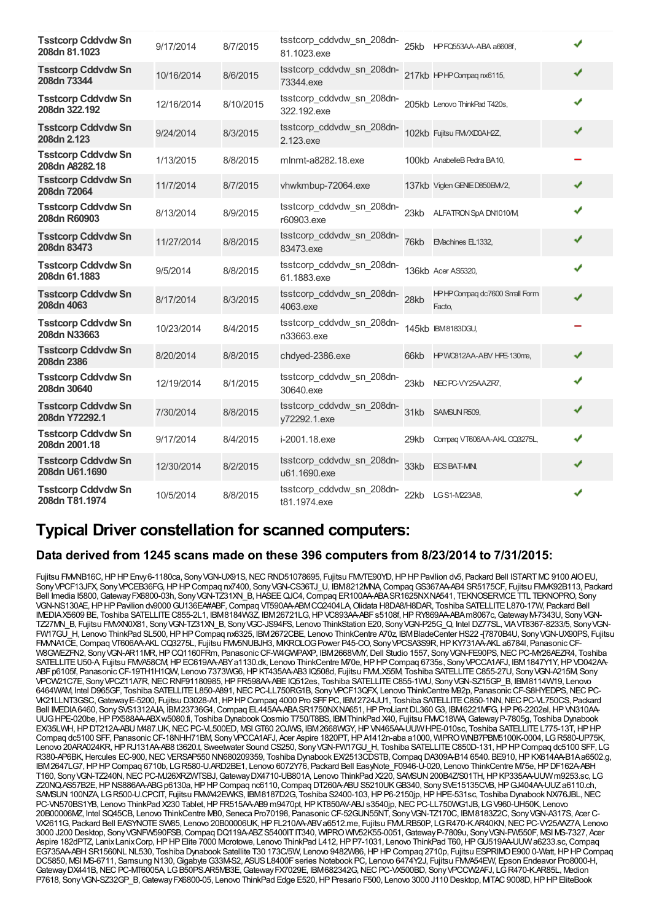| <b>Tsstcorp Cddvdw Sn</b><br>208dn 81.1023  | 9/17/2014  | 8/7/2015  | tsstcorp_cddvdw_sn_208dn-<br>81.1023.exe  |      | 25kb HPFQ553AA-ABA a6608f,              |   |  |
|---------------------------------------------|------------|-----------|-------------------------------------------|------|-----------------------------------------|---|--|
| <b>Tsstcorp Cddvdw Sn</b><br>208dn 73344    | 10/16/2014 | 8/6/2015  | tsstcorp_cddvdw_sn_208dn-<br>73344.exe    |      | 217kb HPHP Compaq nx6115,               | ✔ |  |
| <b>Tsstcorp Cddvdw Sn</b><br>208dn 322.192  | 12/16/2014 | 8/10/2015 | tsstcorp_cddvdw_sn_208dn-<br>322.192.exe  |      | 205kb Lenovo ThinkPad T420s,            | ✔ |  |
| <b>Tsstcorp Cddvdw Sn</b><br>208dn 2.123    | 9/24/2014  | 8/3/2015  | tsstcorp_cddvdw_sn_208dn-<br>2.123.exe    |      | 102kb Fujitsu FMVXD0AH2Z,               | ✔ |  |
| <b>Tsstcorp Cddvdw Sn</b><br>208dn A8282.18 | 1/13/2015  | 8/8/2015  | mlnmt-a8282.18.exe                        |      | 100kb AnabelleB Pedra BA10,             |   |  |
| <b>Tsstcorp Cddvdw Sn</b><br>208dn 72064    | 11/7/2014  | 8/7/2015  | vhwkmbup-72064.exe                        |      | 137kb Viglen GENED850EM/2,              | ✔ |  |
| <b>Tsstcorp Cddvdw Sn</b><br>208dn R60903   | 8/13/2014  | 8/9/2015  | tsstcorp_cddvdw_sn_208dn-<br>r60903.exe   | 23kb | ALFATRON SpA DN1010/M                   | ✔ |  |
| <b>Tsstcorp Cddvdw Sn</b><br>208dn 83473    | 11/27/2014 | 8/8/2015  | tsstcorp_cddvdw_sn_208dn-<br>83473.exe    | 76kb | EMachines EL1332,                       | ✔ |  |
| <b>Tsstcorp Cddvdw Sn</b><br>208dn 61.1883  | 9/5/2014   | 8/8/2015  | tsstcorp_cddvdw_sn_208dn-<br>61.1883.exe  |      | 136kb Acer AS5320,                      | ✔ |  |
| <b>Tsstcorp Cddvdw Sn</b><br>208dn 4063     | 8/17/2014  | 8/3/2015  | tsstcorp_cddvdw_sn_208dn-<br>4063.exe     | 28kb | HPHP Compaq dc7600 Small Form<br>Facto, | ✔ |  |
| <b>Tsstcorp Cddvdw Sn</b><br>208dn N33663   | 10/23/2014 | 8/4/2015  | tsstcorp_cddvdw_sn_208dn-<br>n33663.exe   |      | 145kb IBM8183DGU,                       |   |  |
| <b>Tsstcorp Cddvdw Sn</b><br>208dn 2386     | 8/20/2014  | 8/8/2015  | chdyed-2386.exe                           | 66kb | HPWC812AA-ABV HPE-130me,                | ✔ |  |
| <b>Tsstcorp Cddvdw Sn</b><br>208dn 30640    | 12/19/2014 | 8/1/2015  | tsstcorp_cddvdw_sn_208dn-<br>30640.exe    | 23kb | NEC PC-VY25AAZR7,                       | ✔ |  |
| <b>Tsstcorp Cddvdw Sn</b><br>208dn Y72292.1 | 7/30/2014  | 8/8/2015  | tsstcorp cddvdw sn 208dn-<br>y72292.1.exe | 31kb | SAMSUN R509,                            | ✔ |  |
| <b>Tsstcorp Cddvdw Sn</b><br>208dn 2001.18  | 9/17/2014  | 8/4/2015  | i-2001.18.exe                             | 29kb | Compag VT606AA-AKL CQ3275L,             | ✔ |  |
| <b>Tsstcorp Cddvdw Sn</b><br>208dn U61.1690 | 12/30/2014 | 8/2/2015  | tsstcorp_cddvdw_sn_208dn-<br>u61.1690.exe | 33kb | <b>ECS BAT-MN,</b>                      | ✔ |  |
| <b>Tsstcorp Cddvdw Sn</b><br>208dn T81.1974 | 10/5/2014  | 8/8/2015  | tsstcorp_cddvdw_sn_208dn-<br>t81.1974.exe | 22kb | LG S1-M223A8,                           | ✔ |  |

### **Typical Driver constellation for scanned computers:**

### **Data derived from 1245 scans made on these 396 computers from 8/23/2014 to 7/31/2015:**

Fujitsu FMMB16C, HPHP Envy6-1180ca, Sony VGN-UX91S, NEC RND51078695, Fujitsu FM/TE90YD, HPHP Pavilion dv5, Packard Bell ISTARTMC 9100 AIOEU, Sony VPCF13JFX, Sony VPCEB36FG, HPHP Compaq nx7400, Sony VGN-CS36TJ\_U, IBM8212MNA, Compaq GS367AA-AB4 SR5175CF, Fujitsu FMMK92B113, Packard Bell Imedia I5800, Gateway FX6800-03h, Sony VGN-TZ31XN\_B, HASEE QJC4, Compaq ER100AA-ABASR1625NXNA541, TEKNOSERVICETTL TEKNOPRO, Sony VGN-NS130AE, HPHP Pavilion dv9000 GU136EA#ABF, Compaq VT590AA-ABMCQ2404LA, Olidata H8DA8/H8DAR, Toshiba SATELLITE L870-17W, Packard Bell IMEDIAX5609 BE, Toshiba SATELLITE C855-2L1, IBM8184W3Z, IBM26721LG, HP VC893AA-ABFs5108f, HP RY869AA-ABAm8067c, Gateway M-7343U, Sony VGN-TZ27MN\_B, Fujitsu FMVXN0X81, SonyVGN-TZ31XN\_B, SonyVGC-JS94FS, Lenovo ThinkStation E20, SonyVGN-P25G\_Q, Intel DZ77SL, VIAVT8367-8233/5, SonyVGN-FW17GU\_H, Lenovo ThinkPad SL500,HPHPCompaq nx6325, IBM2672CBE, Lenovo ThinkCentre A70z, IBMBladeCenter HS22 -[7870B4U, SonyVGN-UX90PS, Fujitsu FMNA1CE, Compaq VT606AA-AKL CQ3275L, Fujitsu FMV5NUBJH3, MKROLOG Power P45-CO, Sony VPCSA3S9R, HP KY731AA-AKL a6784l, Panasonic CF-W8GWEZFN2, SonyVGN-AR11MR,HPCQ1160FRm, PanasonicCF-W4GWPAXP, IBM2668VMY,Dell Studio 1557, SonyVGN-FE90PS,NECPC-MY26AEZR4, Toshiba SATELLITE U50-A, Fujitsu FMVA58CM, HP EC619AA-ABYa1130.dk, Lenovo ThinkCentre M70e, HP HP Compaq 6735s, Sony VPCCA1AFJ, IBM 1847Y1Y, HP VD042AA-ABFp6105f, PanasonicCF-19TH1H1QW, Lenovo 7373WG6,HPKT435AA-AB3 IQ508d, Fujitsu FMVLX55M, Toshiba SATELLITEC855-27U, SonyVGN-A215M, Sony VPCW21C7E, SonyVPCZ11A7R,NECRNF91180985,HPFR598AA-ABEIQ512es, Toshiba SATELLITEC855-1WU, SonyVGN-SZ15GP\_B, IBM8114W19, Lenovo 6464WAM, Intel D965GF, Toshiba SATELLITE L850-A891, NEC PC-LL750RG1B, Sony VPCF13QFX, Lenovo ThinkCentre M92p, Panasonic CF-S8HYEDPS, NEC PC-VK21LLNT3GSC,GatewayE-5200, Fujitsu D3028-A1,HPHPCompaq 4000 Pro SFFPC, IBM2724JU1, Toshiba SATELLITEC850-1NN,NECPC-VL750CS, Packard Bell IMEDIA6460, SonySVS1312AJA, IBM23736G4,Compaq EL445AA-ABASR1750NXNA651,HPProLiantDL360G3, IBM6221MFG,HPP6-2202el,HPVN310AA-UUG HPE-020be, HP PX588AA-ABXw5080.fi, Toshiba Dynabook Qosmio T750/T8BS, IBMThinkPad X40, Fujitsu FMVC18WA, Gateway P-7805g, Toshiba Dynabook EX/35LWH, HP DT212A-ABU M487.UK, NEC PC-VL500ED, MSI GT60 2OJWS, IBM2668WGY, HP VN465AA-UUW HPE-010sc, Toshiba SATELLITE L775-13T, HP HP Compaq dc5100 SFF, Panasonic CF-18NHH71BM, Sony VPCCA1AFJ, Acer Aspire 1820PT, HP A1412n-aba a1000, WIPRO WNB7PBM5100K-0004, LG R580-UP75K, Lenovo 20ARA024KR, HPRJ131AA-AB8 t3620.t, Sweetwater Sound CS250, Sony VGN-FW17GU\_H, Toshiba SATELLITE C850D-131, HP HP Compaq dc5100 SFF, LG R380-AP6BK, Hercules EC-900, NEC VERSAP550 NN680209359, Toshiba Dynabook EX/2513CDSTB, Compaq DA309A-B14 6540. BE910, HP KX614AA-B1Aa6502.g, IBM2647LG7,HPHPCompaq 6710b, LGR580-U.ARD2BE1, Lenovo 6072Y76, Packard Bell EasyNote\_F0946-U-020, Lenovo ThinkCentre M75e,HPDF162A-ABH T160, Sony VGN-TZ240N, NEC PC-MJ26XRZWTSBJ, Gateway DX4710-UB801A, Lenovo ThinkPad X220, SAMSUN 200B4Z/S01TH, HP KP335AA-UUW m9253.sc, LG Z20NQ.AS57B2E, HP NS886AA-ABG p6130a, HP HP Compaq nc6110, Compaq DT260A-ABU S5210UKGB340, SonySVE15135CVB, HP GJ404AA-UUZa6110.ch, SAMSUN 100NZA, LGR500-U.CPCIT, Fujitsu FMVA42EWKS, IBM8187D2G, Toshiba S2400-103, HP P6-2150jp, HP HPE-531sc, Toshiba Dynabook NX76JBL, NEC PC-VN570BS1YB, Lenovo ThinkPad X230 Tablet, HP FR515AA-AB9 m9470pt, HP KT850AV-ABJ s3540jp, NEC PC-LL750WG1JB, LGV960-UH50K, Lenovo 20B00006MZ, Intel SQ45CB, Lenovo ThinkCentre M80, Seneca Pro70198, PanasonicCF-52GUN55NT, SonyVGN-TZ170C, IBM8183Z2C, SonyVGN-A317S, Acer C-VX2611G, Packard Bell EASYNOTESW85, Lenovo 20B00006UK,HPFL210AA-ABVa6512.me, Fujitsu FMVLRB50P, LGR470-K.AR40KN,NECPC-VY25AAZ7A, Lenovo 3000 J200 Desktop, SonyVGNFW590FSB,Compaq DQ119A-ABZS5400ITIT340, WIPROWIV52K55-0051,GatewayP-7809u, SonyVGN-FW550F, MSI MS-7327, Acer Aspire 182dPTZ, Lanix Lanix Corp, HPHP Elite 7000 Mcrotowe, Lenovo ThinkPad L412, HP P7-1031, Lenovo ThinkPad T60, HP GU519AA-UUW a6233.sc, Compaq EG735AA-ABH SR1560NL NL530, Toshiba Dynabook Satellite T30 173C/5W, Lenovo 9482W86, HP HP Compaq 2710p, Fujitsu ESPRIMO E900 0-Watt, HP HP Compaq DC5850, MSI MS-6711, Samsung N130,GigabyteG33M-S2, ASUSL8400Fseries Notebook PC, Lenovo 6474Y2J, Fujitsu FMVA54EW, Epson Endeavor Pro8000-H, Gateway DX441B, NEC PC-MT6005A, LGB50PS.AR5MB3E, Gateway FX7029E, IBM682342G, NEC PC-VX500BD, Sony VPCCW2AFJ, LGR470-K.AR85L, Medion P7618, Sony VGN-SZ32GP\_B, Gateway FX6800-05, Lenovo ThinkPad Edge E520, HP Presario F500, Lenovo 3000 J110 Desktop, MTAC 9008D, HP HP EliteBook